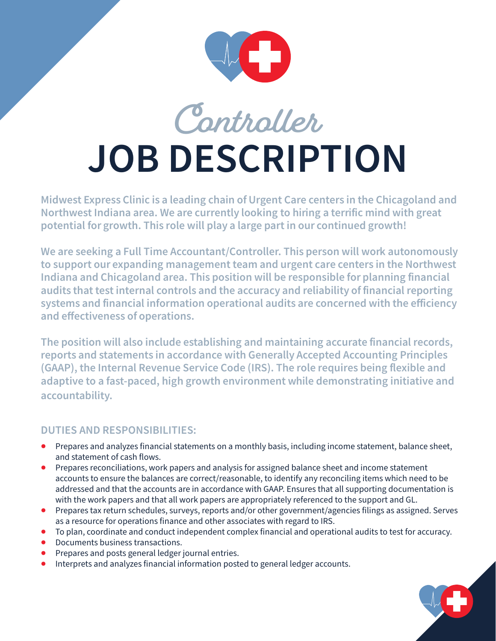

**Controller**

## **JOB DESCRIPTION**

Midwest Express Clinic is a leading chain of Urgent Care centers in the Chicagoland and Northwest Indiana area. We are currently looking to hiring a terrific mind with great potential for growth. This role will play a large part in our continued growth!

We are seeking a Full Time Accountant/Controller. This person will work autonomously to support our expanding management team and urgent care centers in the Northwest Indiana and Chicagoland area. This position will be responsible for planning financial audits that test internal controls and the accuracy and reliability of financial reporting systems and financial information operational audits are concerned with the efficiency and effectiveness of operations.

The position will also include establishing and maintaining accurate financial records, reports and statements in accordance with Generally Accepted Accounting Principles (GAAP), the Internal Revenue Service Code (IRS). The role requires being flexible and adaptive to a fast-paced, high growth environment while demonstrating initiative and accountability.

## **DUTIES AND RESPONSIBILITIES:**

- Prepares and analyzes financial statements on a monthly basis, including income statement, balance sheet, and statement of cash flows.
- Prepares reconciliations, work papers and analysis for assigned balance sheet and income statement accounts to ensure the balances are correct/reasonable, to identify any reconciling items which need to be addressed and that the accounts are in accordance with GAAP. Ensures that all supporting documentation is with the work papers and that all work papers are appropriately referenced to the support and GL.
- Prepares tax return schedules, surveys, reports and/or other government/agencies filings as assigned. Serves as a resource for operations finance and other associates with regard to IRS.
- To plan, coordinate and conduct independent complex financial and operational audits to test for accuracy.
- Documents business transactions.
- Prepares and posts general ledger journal entries.
- Interprets and analyzes financial information posted to general ledger accounts.